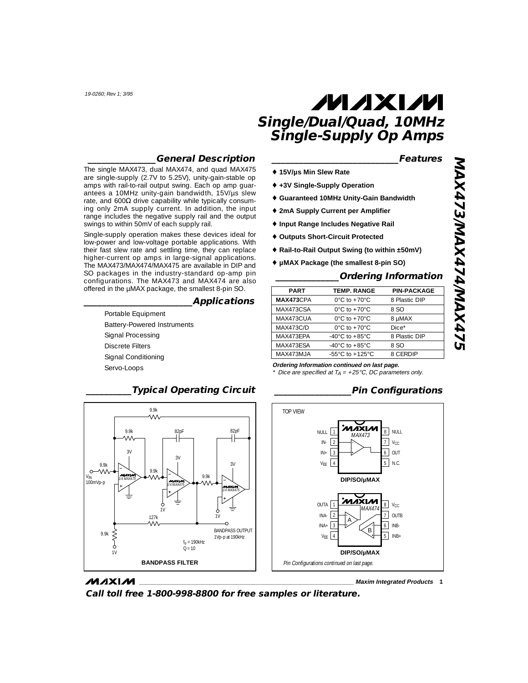## **\_\_\_\_\_\_\_\_\_\_\_\_\_\_\_General Description**

The single MAX473, dual MAX474, and quad MAX475 are single-supply (2.7V to 5.25V), unity-gain-stable op amps with rail-to-rail output swing. Each op amp guarantees a 10MHz unity-gain bandwidth, 15V/µs slew rate, and  $600Ω$  drive capability while typically consuming only 2mA supply current. In addition, the input range includes the negative supply rail and the output swings to within 50mV of each supply rail.

Single-supply operation makes these devices ideal for low-power and low-voltage portable applications. With their fast slew rate and settling time, they can replace higher-current op amps in large-signal applications. The MAX473/MAX474/MAX475 are available in DIP and SO packages in the industry-standard op-amp pin configurations. The MAX473 and MAX474 are also offered in the µMAX package, the smallest 8-pin SO.

### **\_\_\_\_\_\_\_\_\_\_\_\_\_\_\_\_\_\_\_\_\_\_\_\_Applications**

Portable Equipment Battery-Powered Instruments Signal Processing Discrete Filters Signal Conditioning Servo-Loops

### **\_\_\_\_\_\_\_\_\_\_\_\_\_\_\_\_\_\_\_\_\_\_\_\_\_\_\_\_Features**

- ♦ **15V/µs Min Slew Rate**
- ♦ **+3V Single-Supply Operation**
- ♦ **Guaranteed 10MHz Unity-Gain Bandwidth**
- ♦ **2mA Supply Current per Amplifier**
- ♦ **Input Range Includes Negative Rail**
- ♦ **Outputs Short-Circuit Protected**
- ♦ **Rail-to-Rail Output Swing (to within ±50mV)**
- ♦ **µMAX Package (the smallest 8-pin SO)**

## **\_\_\_\_\_\_\_\_\_\_\_\_\_\_Ordering Information**

| <b>PART</b>      | <b>TEMP. RANGE</b>                   | <b>PIN-PACKAGE</b> |
|------------------|--------------------------------------|--------------------|
| MAX473CPA        | $0^{\circ}$ C to $+70^{\circ}$ C     | 8 Plastic DIP      |
| MAX473CSA        | $0^{\circ}$ C to $+70^{\circ}$ C     | 8 SO               |
| MAX473CUA        | $0^{\circ}$ C to $+70^{\circ}$ C     | 8 µMAX             |
| <b>MAX473C/D</b> | $0^{\circ}$ C to $+70^{\circ}$ C     | Dice*              |
| MAX473FPA        | -40 $^{\circ}$ C to +85 $^{\circ}$ C | 8 Plastic DIP      |
| MAX473ESA        | -40 $^{\circ}$ C to +85 $^{\circ}$ C | 8.SO               |
| MAX473MJA        | $-55^{\circ}$ C to $+125^{\circ}$ C  | 8 CERDIP           |

**Ordering Information continued on last page.**

# **\_\_\_\_\_\_\_\_\_\_\_\_\_\_\_\_\_Pin Configurations**





**MAXIM Call toll free 1-800-998-8800 for free samples or literature.**

**\_\_\_\_\_\_\_\_\_\_\_\_\_\_\_\_\_\_\_\_\_\_\_\_\_\_\_\_\_\_\_\_\_\_\_\_\_\_\_\_\_\_\_\_\_\_\_\_\_\_\_\_\_\_\_\_\_\_\_\_\_\_\_\_ Maxim Integrated Products 1**

Dice are specified at  $TA = +25 °C$ , DC parameters only.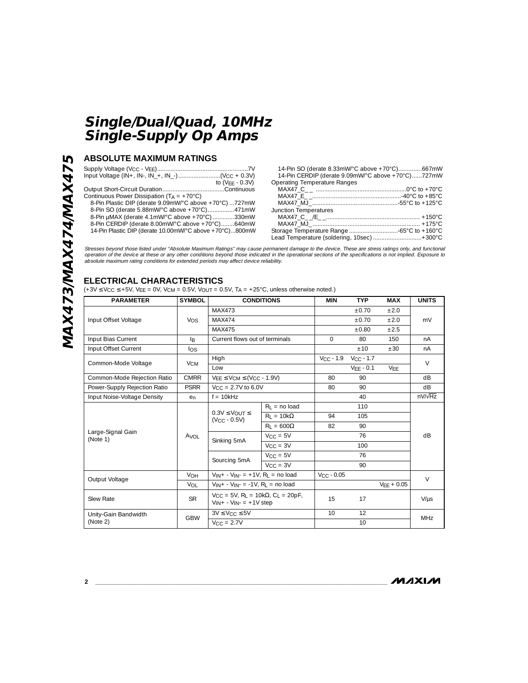# **ABSOLUTE MAXIMUM RATINGS**

| to $(VFF - 0.3V)$                                       |
|---------------------------------------------------------|
|                                                         |
| Continuous Power Dissipation ( $T_A = +70^{\circ}$ C)   |
| 8-Pin Plastic DIP (derate 9.09mW/°C above +70°C) 727mW  |
| 8-Pin SO (derate 5.88mW/°C above +70°C)471mW            |
| 8-Pin µMAX (derate 4.1mW/°C above +70°C) 330mW          |
| 8-Pin CERDIP (derate 8.00mW/°C above +70°C)640mW        |
| 14-Pin Plastic DIP (derate 10.00mW/°C above +70°C)800mW |
|                                                         |

| 14-Pin SO (derate 8.33mW/°C above +70°C)667mW     |  |
|---------------------------------------------------|--|
| 14-Pin CERDIP (derate 9.09mW/°C above +70°C)727mW |  |
| Operating Temperature Ranges                      |  |
|                                                   |  |
|                                                   |  |
|                                                   |  |
| Junction Temperatures                             |  |
|                                                   |  |
|                                                   |  |
|                                                   |  |
| Lead Temperature (soldering, 10sec) +300°C        |  |
|                                                   |  |

Stresses beyond those listed under "Absolute Maximum Ratings" may cause permanent damage to the device. These are stress ratings only, and functional<br>operation of the device at these or any other conditions beyond those in absolute maximum rating conditions for extended periods may affect device reliability.

# **ELECTRICAL CHARACTERISTICS**

(+3V  $\leq$  V<sub>CC</sub>  $\leq$  +5V, V<sub>EE</sub> = 0V, V<sub>CM</sub> = 0.5V, V<sub>OUT</sub> = 0.5V, T<sub>A</sub> = +25°C, unless otherwise noted.)

| <b>PARAMETER</b>              | <b>SYMBOL</b>         |                                                                                                                | <b>CONDITIONS</b> | <b>MIN</b>      | <b>TYP</b>     | <b>MAX</b>   | <b>UNITS</b>   |  |
|-------------------------------|-----------------------|----------------------------------------------------------------------------------------------------------------|-------------------|-----------------|----------------|--------------|----------------|--|
|                               |                       | MAX473                                                                                                         |                   |                 | ±0.70          | ±2.0         |                |  |
| Input Offset Voltage          | Vos                   | <b>MAX474</b>                                                                                                  |                   |                 | ±0.70          | ±2.0         | mV             |  |
|                               |                       | MAX475                                                                                                         |                   |                 | ±0.80          | ±2.5         |                |  |
| Input Bias Current            | l <sub>B</sub>        | Current flows out of terminals                                                                                 |                   | $\Omega$        | 80             | 150          | nA             |  |
| Input Offset Current          | los                   |                                                                                                                |                   |                 | ±10            | ±30          | nA             |  |
|                               |                       | High                                                                                                           |                   | $V_{CC}$ - 1.9  | $V_{CC}$ - 1.7 |              |                |  |
| Common-Mode Voltage           | <b>V<sub>CM</sub></b> | Low                                                                                                            |                   |                 | $VFF - 0.1$    | <b>VFF</b>   | $\vee$         |  |
| Common-Mode Rejection Ratio   | <b>CMRR</b>           | $V_{FF} \leq V_{CM} \leq (V_{CC} - 1.9V)$                                                                      |                   | 80              | 90             |              | dB.            |  |
| Power-Supply Rejection Ratio  | <b>PSRR</b>           | $V_{CC} = 2.7V$ to 6.0V                                                                                        |                   | 80              | 90             |              | dB             |  |
| Input Noise-Voltage Density   | en                    | $f = 10kHz$                                                                                                    |                   |                 | 40             |              | $nV/\sqrt{Hz}$ |  |
|                               | A <sub>VOL</sub>      | $0.3V \leq V_{\text{OUT}} \leq$<br>$(VCC - 0.5V)$                                                              | $R_1$ = no load   |                 | 110            |              |                |  |
|                               |                       |                                                                                                                | $R_1 = 10k\Omega$ | 94              | 105            |              | dB             |  |
|                               |                       |                                                                                                                | $R_1 = 600\Omega$ | 82              | 90             |              |                |  |
| Large-Signal Gain<br>(Note 1) |                       | Sinking 5mA                                                                                                    | $V_{CC} = 5V$     |                 | 76             |              |                |  |
|                               |                       |                                                                                                                | $V_{CC} = 3V$     |                 | 100            |              |                |  |
|                               |                       |                                                                                                                | $V_{CC} = 5V$     |                 | 76             |              |                |  |
|                               |                       | Sourcing 5mA                                                                                                   | $V_{CC} = 3V$     |                 | 90             |              |                |  |
|                               | <b>VOH</b>            | $V_{IN} + -V_{IN} = +1V$ , R <sub>1</sub> = no load                                                            |                   | $VCC - 0.05$    |                |              | $\vee$         |  |
| Output Voltage                | VOL                   | $V_{IN} + -V_{IN} = -1V$ , R <sub>L</sub> = no load                                                            |                   |                 |                | $VFF + 0.05$ |                |  |
| Slew Rate                     | <b>SR</b>             | $V_{\text{CC}} = 5V$ , R <sub>1</sub> = 10k $\Omega$ , C <sub>1</sub> = 20pF,<br>$V_{IN} + -V_{IN} = +1V$ step |                   | 15              | 17             |              | $V/\mu s$      |  |
| Unity-Gain Bandwidth          | <b>GBW</b>            | $3V \leq V_{CC} \leq 5V$                                                                                       |                   | 10 <sup>1</sup> | 12             |              | <b>MHz</b>     |  |
| (Note 2)                      |                       | $V_{CC} = 2.7V$                                                                                                |                   |                 | 10             |              |                |  |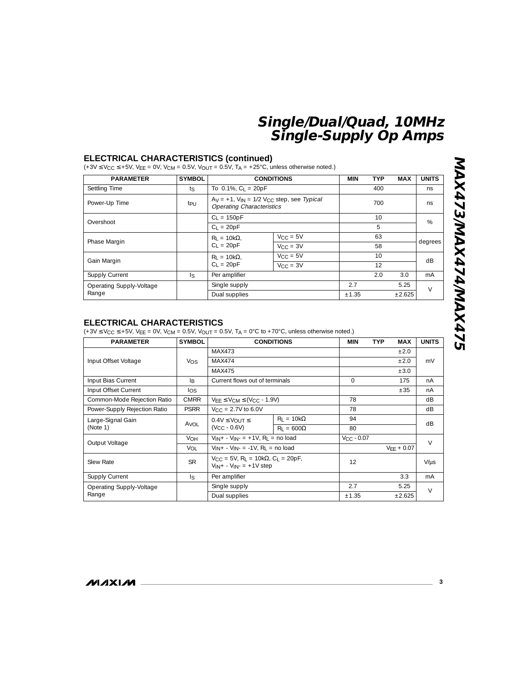### **ELECTRICAL CHARACTERISTICS (continued)**

 $(+3V \leq V_{CC} \leq +5V, V_{EE} = 0V, V_{CM} = 0.5V, V_{OUT} = 0.5V, T_A = +25^{\circ}C,$  unless otherwise noted.)

| <b>PARAMETER</b>         | <b>SYMBOL</b>   | <b>CONDITIONS</b>         | <b>MIN</b>                                                                                | <b>TYP</b> | <b>MAX</b>      | <b>UNITS</b> |         |  |
|--------------------------|-----------------|---------------------------|-------------------------------------------------------------------------------------------|------------|-----------------|--------------|---------|--|
| Settling Time            | ts              | To $0.1\%$ , $C_L = 20pF$ |                                                                                           |            | 400             |              | ns      |  |
| Power-Up Time            | t <sub>PU</sub> |                           | $Ay = +1$ , $V_{IN} = 1/2$ $V_{CC}$ step, see Typical<br><b>Operating Characteristics</b> |            | 700             |              | ns      |  |
|                          |                 | $C_1 = 150pF$             |                                                                                           |            | 10 <sup>2</sup> |              | %       |  |
| Overshoot                |                 | $C_1 = 20pF$              |                                                                                           |            | 5               |              |         |  |
|                          |                 | $R_1 = 10k\Omega$ .       | $V_{CC} = 5V$                                                                             |            | 63              |              |         |  |
| Phase Margin             |                 | $C_1 = 20pF$              | $V_{CC} = 3V$                                                                             |            | 58              |              | degrees |  |
|                          |                 | $R_1 = 10k\Omega$         | $V_{CC} = 5V$                                                                             |            | 10 <sup>2</sup> |              | dB      |  |
| Gain Margin              |                 | $C_1 = 20pF$              | $V_{\text{CC}} = 3V$                                                                      |            | 12              |              |         |  |
| Supply Current           | $\mathsf{ls}$   | Per amplifier             |                                                                                           |            | 2.0             | 3.0          | mA      |  |
| Operating Supply-Voltage |                 | Single supply             |                                                                                           | 2.7        |                 | 5.25         | $\vee$  |  |
| Range                    |                 | Dual supplies             |                                                                                           | ±1.35      |                 | ±2.625       |         |  |

# MAX473/MAX474MMAX475 **MAX473/MAX474/MAX475**

# **ELECTRICAL CHARACTERISTICS**

(+3V  $\leq$  VCC  $\leq$  +5V, VEE = 0V, VCM = 0.5V, VOUT = 0.5V, TA = 0°C to +70°C, unless otherwise noted.)

| <b>PARAMETER</b>             | <b>SYMBOL</b>   |                                                                                                                | <b>CONDITIONS</b>                | MIN            | <b>TYP</b><br><b>MAX</b> | <b>UNITS</b> |
|------------------------------|-----------------|----------------------------------------------------------------------------------------------------------------|----------------------------------|----------------|--------------------------|--------------|
|                              |                 | MAX473                                                                                                         |                                  |                | ±2.0                     |              |
| Input Offset Voltage         | Vos             | MAX474                                                                                                         |                                  |                | ±2.0                     | mV           |
|                              |                 | MAX475                                                                                                         |                                  |                | ±3.0                     |              |
| Input Bias Current           | l B             | Current flows out of terminals                                                                                 |                                  | $\Omega$       | 175                      | nA           |
| Input Offset Current         | los             |                                                                                                                |                                  |                | ±35                      | nA           |
| Common-Mode Rejection Ratio  | <b>CMRR</b>     |                                                                                                                | $VEE \leq VCM \leq (VCC - 1.9V)$ |                |                          | dB           |
| Power-Supply Rejection Ratio | <b>PSRR</b>     | $V_{C}$ = 2.7V to 6.0V                                                                                         |                                  |                |                          | dB           |
| Large-Signal Gain            | Avol            | $0.4V \leq V_{\text{OUT}} \leq$<br>$(VCC - 0.6V)$                                                              | $R_1 = 10k\Omega$                | 94             |                          | dB           |
| (Note 1)                     |                 |                                                                                                                | $R_1 = 600\Omega$                | 80             |                          |              |
| Output Voltage               | V <sub>OH</sub> | $V_{IN} + -V_{IN} = +1V$ , R <sub>1</sub> = no load                                                            |                                  | $V_{C}$ - 0.07 |                          | $\vee$       |
|                              | Vol             | $V_{IN} + -V_{IN} = -1V$ . R <sub>1</sub> = no load                                                            |                                  |                | $VFF + 0.07$             |              |
| Slew Rate                    | <b>SR</b>       | $V_{\text{CC}} = 5V$ , R <sub>L</sub> = 10k $\Omega$ , C <sub>L</sub> = 20pF,<br>$V_{IN} + -V_{IN} = +1V$ step |                                  | 12             |                          | $V/\mu s$    |
| Supply Current               | $\mathsf{R}$    | Per amplifier                                                                                                  |                                  |                | 3.3                      | mA           |
| Operating Supply-Voltage     |                 | Single supply                                                                                                  |                                  | 2.7            | 5.25                     | $\vee$       |
| Range                        |                 | Dual supplies                                                                                                  |                                  | ±1.35          | ±2.625                   |              |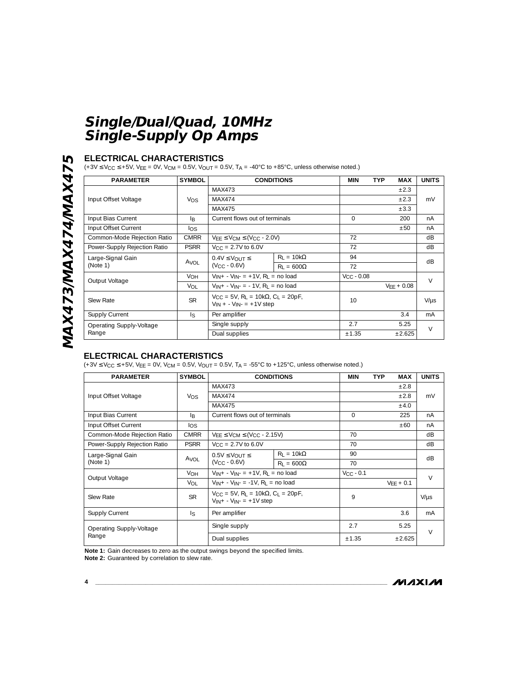# **ELECTRICAL CHARACTERISTICS**

 $(+3V \le V_{CC} \le +5V, V_{EE} = 0V, V_{CM} = 0.5V, V_{OUT} = 0.5V, T_A = -40^{\circ}C$  to  $+85^{\circ}C$ , unless otherwise noted.)

| <b>PARAMETER</b>             | <b>SYMBOL</b>             |                                                                                                                   | <b>CONDITIONS</b>                | <b>MIN</b>   | <b>TYP</b><br><b>MAX</b> | <b>UNITS</b> |  |
|------------------------------|---------------------------|-------------------------------------------------------------------------------------------------------------------|----------------------------------|--------------|--------------------------|--------------|--|
|                              |                           | MAX473                                                                                                            |                                  |              | $\pm 2.3$                |              |  |
| Input Offset Voltage         | Vos                       | MAX474                                                                                                            |                                  |              | $\pm 2.3$                | mV           |  |
|                              |                           | MAX475                                                                                                            |                                  |              | $\pm 3.3$                |              |  |
| Input Bias Current           | l <sub>R</sub>            | Current flows out of terminals                                                                                    |                                  | $\Omega$     | 200                      | nA           |  |
| Input Offset Current         | los                       |                                                                                                                   |                                  |              | ±50                      | nA           |  |
| Common-Mode Rejection Ratio  | <b>CMRR</b>               |                                                                                                                   | $VEE \leq VCM \leq (VCC - 2.0V)$ |              |                          | dB           |  |
| Power-Supply Rejection Ratio | <b>PSRR</b>               | $V_{\text{CC}} = 2.7V$ to 6.0V                                                                                    |                                  |              |                          | dB           |  |
| Large-Signal Gain            | Avol                      | $0.4V \leq V_{\bigcirc}U$<br>$(V_{CC} - 0.6V)$                                                                    | $R_1 = 10k\Omega$                | 94           |                          | dB           |  |
| (Note 1)                     |                           |                                                                                                                   | $R_1 = 600\Omega$                | 72           |                          |              |  |
| Output Voltage               | <b>VOH</b>                | $V_{IN} + -V_{IN} = +1V$ , R <sub>1</sub> = no load                                                               |                                  | $VCC - 0.08$ |                          | $\vee$       |  |
|                              | Vol                       | $V_{IN} + -V_{IN} = -1V$ , R <sub>1</sub> = no load                                                               |                                  |              | $VFF + 0.08$             |              |  |
| <b>Slew Rate</b>             | <b>SR</b>                 | $V_{\text{CC}} = 5V$ , R <sub>1</sub> = 10k $\Omega$ , C <sub>1</sub> = 20pF,<br>$V_{IN}$ + - $V_{IN}$ = +1V step |                                  | 10           |                          | $V/\mu s$    |  |
| <b>Supply Current</b>        | $\lvert \varsigma \rvert$ | Per amplifier                                                                                                     |                                  |              | 3.4                      | mA           |  |
| Operating Supply-Voltage     |                           | Single supply                                                                                                     |                                  | 2.7          | 5.25                     | $\vee$       |  |
| Range                        |                           | Dual supplies                                                                                                     |                                  | ±1.35        | ±2.625                   |              |  |

# **ELECTRICAL CHARACTERISTICS**

(+3V  $\leq$  VCC  $\leq$  +5V, VEE = 0V, VCM = 0.5V, VOUT = 0.5V, TA = -55°C to +125°C, unless otherwise noted.)

| <b>PARAMETER</b>             | <b>SYMBOL</b>   |                                                                                                                | <b>CONDITIONS</b> | MIN            | <b>TYP</b><br><b>MAX</b> | <b>UNITS</b> |
|------------------------------|-----------------|----------------------------------------------------------------------------------------------------------------|-------------------|----------------|--------------------------|--------------|
|                              |                 | MAX473                                                                                                         |                   |                | ±2.8                     |              |
| Input Offset Voltage         | <b>Vos</b>      | MAX474                                                                                                         |                   |                | ±2.8                     | mV           |
|                              |                 | MAX475                                                                                                         |                   |                | ±4.0                     |              |
| Input Bias Current           | B               | Current flows out of terminals                                                                                 |                   | $\Omega$       | 225                      | nA           |
| Input Offset Current         | los             |                                                                                                                |                   |                | ±60                      | nA           |
| Common-Mode Rejection Ratio  | <b>CMRR</b>     | $VEE \leq VCM \leq (VCC - 2.15V)$                                                                              |                   | 70             |                          | dB           |
| Power-Supply Rejection Ratio | <b>PSRR</b>     | $V_{C}$ = 2.7V to 6.0V                                                                                         |                   | 70             |                          | dB           |
| Large-Signal Gain            | Avol            | $0.5V \leq V_{\text{OUT}} \leq$<br>$(VCC - 0.6V)$                                                              | $R_1 = 10k\Omega$ | 90             |                          | dB           |
| (Note 1)                     |                 |                                                                                                                | $R_1 = 600\Omega$ | 70             |                          |              |
| Output Voltage               | V <sub>OH</sub> | $V_{IN} + -V_{IN} = +1V$ , R <sub>1</sub> = no load                                                            |                   | $V_{CC}$ - 0.1 |                          | $\vee$       |
|                              | <b>VOL</b>      | $V_{IN} + -V_{IN} = -1V$ , R <sub>I</sub> = no load                                                            |                   |                | $VFF + 0.1$              |              |
| Slew Rate                    | <b>SR</b>       | $V_{\text{CC}} = 5V$ , R <sub>1</sub> = 10k $\Omega$ , C <sub>1</sub> = 20pF,<br>$V_{IN} + -V_{IN} = +1V$ step |                   | 9              |                          | $V/\mu s$    |
| <b>Supply Current</b>        | $\sqrt{2}$      | Per amplifier                                                                                                  |                   |                | 3.6                      | mA           |
| Operating Supply-Voltage     |                 | Single supply                                                                                                  |                   | 2.7            | 5.25                     | $\vee$       |
| Range                        |                 | Dual supplies                                                                                                  |                   | ±1.35          | ±2.625                   |              |

**Note 1:** Gain decreases to zero as the output swings beyond the specified limits.

**Note 2:** Guaranteed by correlation to slew rate.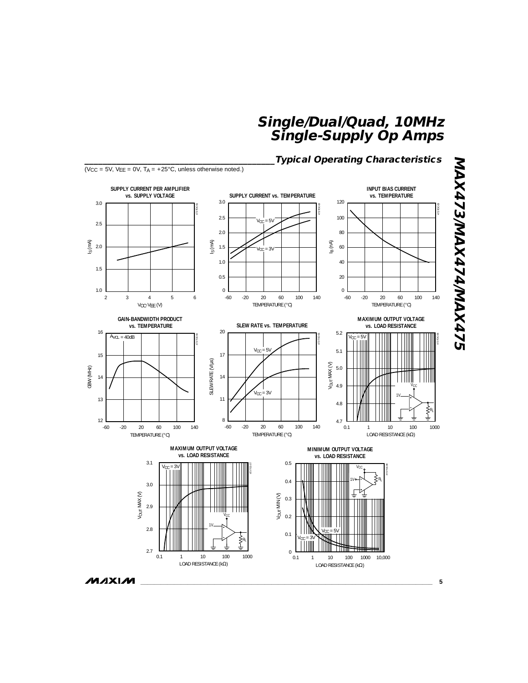

**MAXIM** 

**5**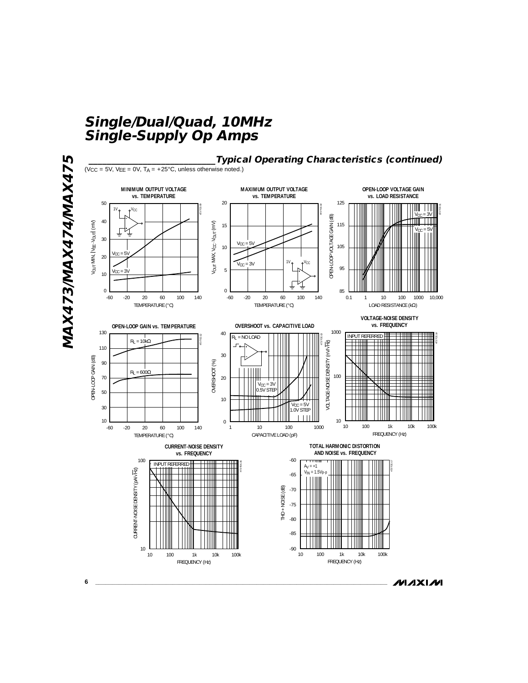![](_page_5_Figure_1.jpeg)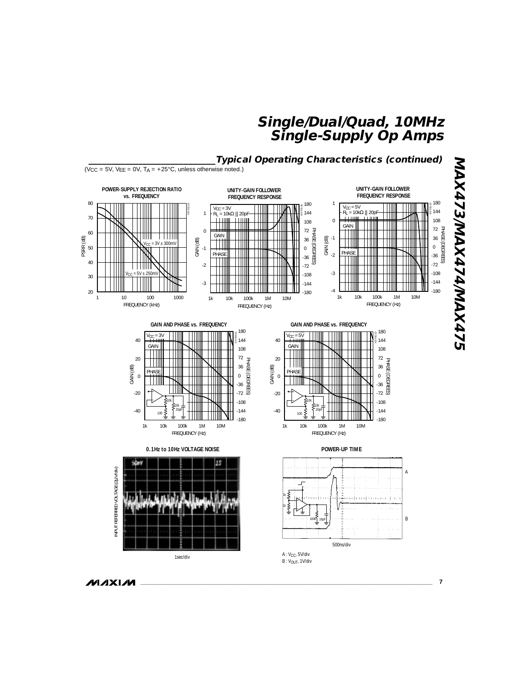![](_page_6_Figure_1.jpeg)

**MAXIM**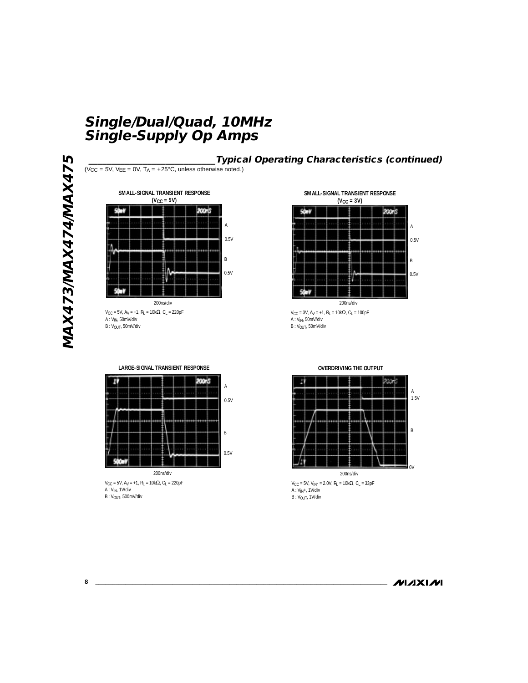MAXANMAXATAMAXAT5 **MAX473/MAX474/MAX475**

![](_page_7_Figure_2.jpeg)

 $V_{CC}$  = 5V, A<sub>V</sub> = +1, R<sub>L</sub> = 10kΩ, C<sub>L</sub> = 220pF A : VIN, 50mV/div  $B: V_{OUT}$ , 50mV/div

![](_page_7_Figure_4.jpeg)

**\_\_\_\_\_\_\_\_\_\_\_\_\_\_\_\_\_\_\_\_\_\_\_\_\_\_\_\_Typical Operating Characteristics (continued)**

![](_page_7_Figure_5.jpeg)

 $V_{\text{CC}}$  = 3V, A<sub>V</sub> = +1, R<sub>L</sub> = 10k $\Omega$ , C<sub>L</sub> = 100pF A : VIN, 50mV/div  $B: V_{OUT}$ , 50mV/div

![](_page_7_Figure_7.jpeg)

**LARGE-SIGNAL TRANSIENT RESPONSE**

 $V_{\text{CC}}$  = 5V, A<sub>V</sub> = +1, R<sub>L</sub> = 10k $\Omega$ , C<sub>L</sub> = 220pF A : VIN, 1V/div B : V<sub>OUT</sub>, 500mV/div

**OVERDRIVING THE OUTPUT**

![](_page_7_Figure_10.jpeg)

 $V_{CC}$  = 5V, V<sub>IN</sub>- = 2.0V, R<sub>L</sub> = 10kΩ, C<sub>L</sub> = 33pF A : V<sub>IN</sub>+, 1V/div<br>B : V<sub>OUT</sub>, 1V/div

# **MAXIM**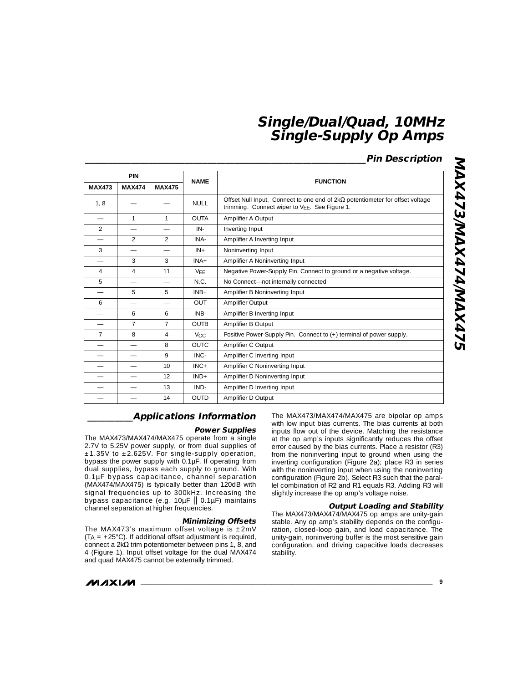# **\_\_\_\_\_\_\_\_\_\_\_\_\_\_\_\_\_\_\_\_\_\_\_\_\_\_\_\_\_\_\_\_\_\_\_\_\_\_\_\_\_\_\_\_\_\_\_\_\_\_\_\_\_\_\_\_\_\_\_\_\_\_Pin Description**

|                          | <b>PIN</b>     |                          |                       |                                                                                                                                       |  |
|--------------------------|----------------|--------------------------|-----------------------|---------------------------------------------------------------------------------------------------------------------------------------|--|
| <b>MAX473</b>            | <b>MAX474</b>  | <b>MAX475</b>            | <b>NAME</b>           | <b>FUNCTION</b>                                                                                                                       |  |
| 1, 8                     |                |                          | <b>NULL</b>           | Offset Null Input. Connect to one end of $2k\Omega$ potentiometer for offset voltage<br>trimming. Connect wiper to VFF. See Figure 1. |  |
| $\overline{\phantom{0}}$ | 1              | 1                        | <b>OUTA</b>           | Amplifier A Output                                                                                                                    |  |
| $\mathcal{P}$            |                |                          | $IN -$                | Inverting Input                                                                                                                       |  |
|                          | 2              | $\mathcal{P}$            | INA-                  | Amplifier A Inverting Input                                                                                                           |  |
| 3                        |                |                          | $IN +$                | Noninverting Input                                                                                                                    |  |
|                          | 3              | 3                        | $INA+$                | Amplifier A Noninverting Input                                                                                                        |  |
| 4                        | $\overline{4}$ | 11                       | VFF                   | Negative Power-Supply Pin. Connect to ground or a negative voltage.                                                                   |  |
| 5                        |                | $\overline{\phantom{0}}$ | N.C.                  | No Connect-not internally connected                                                                                                   |  |
|                          | 5              | 5                        | $INB+$                | Amplifier B Noninverting Input                                                                                                        |  |
| 6                        |                |                          | OUT                   | Amplifier Output                                                                                                                      |  |
|                          | 6              | 6                        | INB-                  | Amplifier B Inverting Input                                                                                                           |  |
|                          | $\overline{7}$ | $\overline{7}$           | <b>OUTB</b>           | Amplifier B Output                                                                                                                    |  |
| $\overline{7}$           | 8              | $\overline{4}$           | <b>V<sub>CC</sub></b> | Positive Power-Supply Pin. Connect to (+) terminal of power supply.                                                                   |  |
|                          |                | 8                        | <b>OUTC</b>           | Amplifier C Output                                                                                                                    |  |
|                          |                | 9                        | INC-                  | Amplifier C Inverting Input                                                                                                           |  |
|                          |                | 10                       | $INC +$               | Amplifier C Noninverting Input                                                                                                        |  |
|                          |                | 12                       | $IND+$                | Amplifier D Noninverting Input                                                                                                        |  |
|                          |                | 13                       | IND-                  | Amplifier D Inverting Input                                                                                                           |  |
|                          |                | 14                       | <b>OUTD</b>           | Amplifier D Output                                                                                                                    |  |

# MAX473/MAX474/MAX475 **MAX473/MAX474/MAX475**

## **\_\_\_\_\_\_\_\_\_\_Applications Information**

### **Power Supplies**

The MAX473/MAX474/MAX475 operate from a single 2.7V to 5.25V power supply, or from dual supplies of  $±1.35V$  to  $±2.625V$ . For single-supply operation, bypass the power supply with 0.1µF. If operating from dual supplies, bypass each supply to ground. With 0.1µF bypass capacitance, channel separation (MAX474/MAX475) is typically better than 120dB with signal frequencies up to 300kHz. Increasing the bypass capacitance (e.g. 10µF || 0.1µF) maintains channel separation at higher frequencies.

### **Minimizing Offsets**

The MAX473's maximum offset voltage is  $\pm 2$ mV (T A = +25°C). If additional offset adjustment is required, connect a  $2k\Omega$  trim potentiometer between pins 1, 8, and 4 (Figure 1). Input offset voltage for the dual MAX474 and quad MAX475 cannot be externally trimmed.

The MAX473/MAX474/MAX475 are bipolar op amps with low input bias currents. The bias currents at both inputs flow out of the device. Matching the resistance at the op amp's inputs significantly reduces the offset error caused by the bias currents. Place a resistor (R3) from the noninverting input to ground when using the inverting configuration (Figure 2a); place R3 in series with the noninverting input when using the noninverting configuration (Figure 2b). Select R3 such that the parallel combination of R2 and R1 equals R3. Adding R3 will slightly increase the op amp's voltage noise.

### **Output Loading and Stability**

The MAX473/MAX474/MAX475 op amps are unity-gain stable. Any op amp's stability depends on the configuration, closed-loop gain, and load capacitance. The unity-gain, noninverting buffer is the most sensitive gain configuration, and driving capacitive loads decreases stability.

**MAXIM**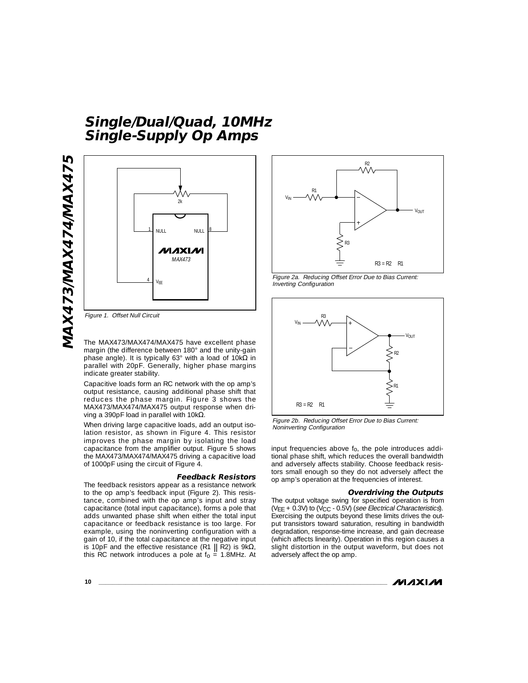![](_page_9_Figure_1.jpeg)

Figure 1. Offset Null Circuit

The MAX473/MAX474/MAX475 have excellent phase margin (the difference between 180° and the unity-gain phase angle). It is typically 63° with a load of 10kΩ in parallel with 20pF. Generally, higher phase margins indicate greater stability.

Capacitive loads form an RC network with the op amp's output resistance, causing additional phase shift that reduces the phase margin. Figure 3 shows the MAX473/MAX474/MAX475 output response when driving a 390pF load in parallel with 10kΩ.

When driving large capacitive loads, add an output isolation resistor, as shown in Figure 4. This resistor improves the phase margin by isolating the load capacitance from the amplifier output. Figure 5 shows the MAX473/MAX474/MAX475 driving a capacitive load of 1000pF using the circuit of Figure 4.

### **Feedback Resistors**

The feedback resistors appear as a resistance network to the op amp's feedback input (Figure 2). This resistance, combined with the op amp's input and stray capacitance (total input capacitance), forms a pole that adds unwanted phase shift when either the total input capacitance or feedback resistance is too large. For example, using the noninverting configuration with a gain of 10, if the total capacitance at the negative input is 10pF and the effective resistance (R1  $\parallel$  R2) is 9k $\Omega$ , this RC network introduces a pole at  $f_0 = 1.8$ MHz. At

![](_page_9_Figure_8.jpeg)

Figure 2a. Reducing Offset Error Due to Bias Current: Inverting Configuration

![](_page_9_Figure_10.jpeg)

Figure 2b. Reducing Offset Error Due to Bias Current: Noninverting Configuration

input frequencies above f o, the pole introduces additional phase shift, which reduces the overall bandwidth and adversely affects stability. Choose feedback resistors small enough so they do not adversely affect the op amp's operation at the frequencies of interest.

### **Overdriving the Outputs**

The output voltage swing for specified operation is from (VEE + 0.3V) to (VCC - 0.5V) (see Electrical Characteristics). Exercising the outputs beyond these limits drives the output transistors toward saturation, resulting in bandwidth degradation, response-time increase, and gain decrease (which affects linearity). Operation in this region causes a slight distortion in the output waveform, but does not adversely affect the op amp.

**MAXIM**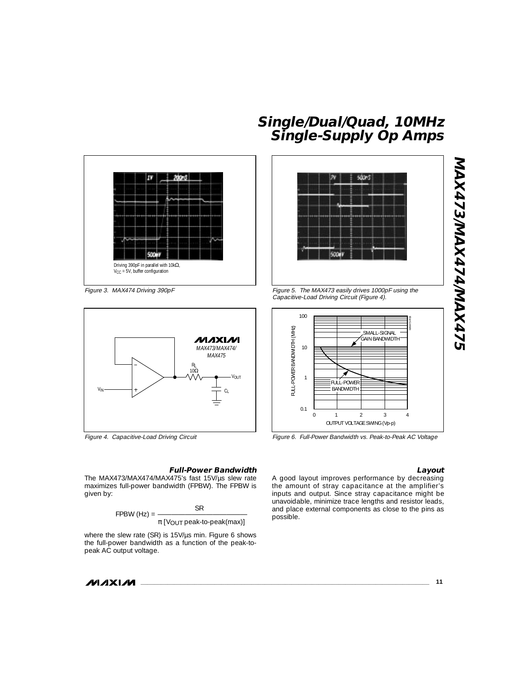![](_page_10_Figure_0.jpeg)

Figure 3. MAX474 Driving 390pF

![](_page_10_Figure_2.jpeg)

Figure 4. Capacitive-Load Driving Circuit

### **Full-Power Bandwidth**

The MAX473/MAX474/MAX475's fast 15V/µs slew rate maximizes full-power bandwidth (FPBW). The FPBW is given by:

$$
FPBW (Hz) = \frac{SR}{\pi [V_{OUT} peak-to-peak(max)]}
$$

where the slew rate (SR) is 15V/us min. Figure 6 shows the full-power bandwidth as a function of the peak-topeak AC output voltage.

**MAXIM** 

# **Single/Dual/Quad, 10MHz Single-Supply Op Amps**

![](_page_10_Figure_10.jpeg)

Figure 5. The MAX473 easily drives 1000pF using the Capacitive-Load Driving Circuit (Figure 4).

![](_page_10_Figure_12.jpeg)

Figure 6. Full-Power Bandwidth vs. Peak-to-Peak AC Voltage

### **Layout**

**MAX473/MAX474/MAX475**

**MAX473/MAX474/MAX475** 

A good layout improves performance by decreasing the amount of stray capacitance at the amplifier's inputs and output. Since stray capacitance might be unavoidable, minimize trace lengths and resistor leads, and place external components as close to the pins as possible.